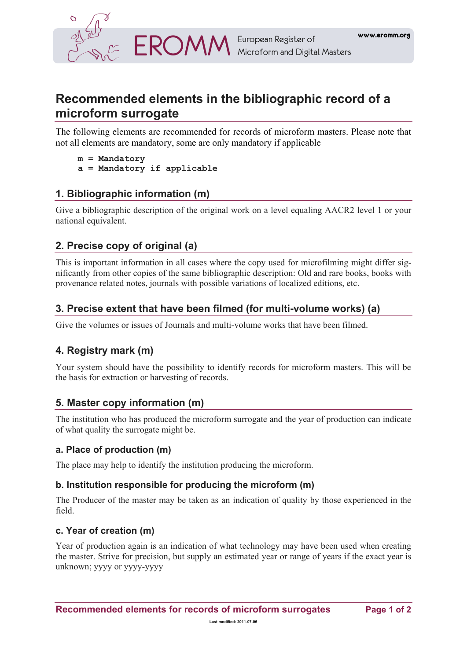

# **Recommended elements in the bibliographic record of a microform surrogate**

The following elements are recommended for records of microform masters. Please note that not all elements are mandatory, some are only mandatory if applicable

```
m = Mandatory 
a = Mandatory if applicable
```
### **1. Bibliographic information (m)**

Give a bibliographic description of the original work on a level equaling AACR2 level 1 or your national equivalent.

### **2. Precise copy of original (a)**

This is important information in all cases where the copy used for microfilming might differ significantly from other copies of the same bibliographic description: Old and rare books, books with provenance related notes, journals with possible variations of localized editions, etc.

### **3. Precise extent that have been filmed (for multi-volume works) (a)**

Give the volumes or issues of Journals and multi-volume works that have been filmed.

### **4. Registry mark (m)**

Your system should have the possibility to identify records for microform masters. This will be the basis for extraction or harvesting of records.

#### **5. Master copy information (m)**

The institution who has produced the microform surrogate and the year of production can indicate of what quality the surrogate might be.

#### **a. Place of production (m)**

The place may help to identify the institution producing the microform.

#### **b. Institution responsible for producing the microform (m)**

The Producer of the master may be taken as an indication of quality by those experienced in the field.

#### **c. Year of creation (m)**

Year of production again is an indication of what technology may have been used when creating the master. Strive for precision, but supply an estimated year or range of years if the exact year is unknown; yyyy or yyyy-yyyy